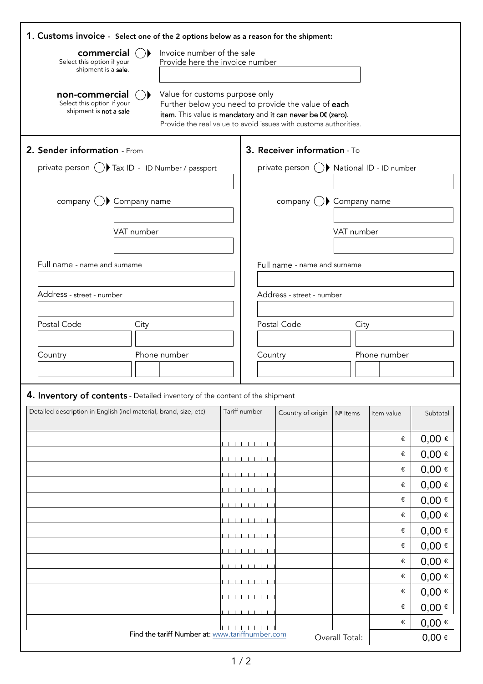| 1. Customs invoice - Select one of the 2 options below as a reason for the shipment: |                            |                                                                                                                                                                                                                           |               |                              |                                           |            |              |                          |  |
|--------------------------------------------------------------------------------------|----------------------------|---------------------------------------------------------------------------------------------------------------------------------------------------------------------------------------------------------------------------|---------------|------------------------------|-------------------------------------------|------------|--------------|--------------------------|--|
| commercial<br>Select this option if your<br>shipment is a sale.                      | Invoice number of the sale | Provide here the invoice number                                                                                                                                                                                           |               |                              |                                           |            |              |                          |  |
| non-commercial<br>Select this option if your<br>shipment is not a sale               |                            | Value for customs purpose only<br>Further below you need to provide the value of each<br>item. This value is mandatory and it can never be 0€ (zero).<br>Provide the real value to avoid issues with customs authorities. |               |                              |                                           |            |              |                          |  |
| 2. Sender information - From                                                         |                            |                                                                                                                                                                                                                           |               |                              | 3. Receiver information - To              |            |              |                          |  |
| private person ( ) Tax ID - ID Number / passport                                     |                            |                                                                                                                                                                                                                           |               |                              | private person () National ID - ID number |            |              |                          |  |
|                                                                                      |                            |                                                                                                                                                                                                                           |               |                              |                                           |            |              |                          |  |
| company $\bigcup$ Company name                                                       |                            |                                                                                                                                                                                                                           |               | company $( )$ Company name   |                                           |            |              |                          |  |
|                                                                                      |                            |                                                                                                                                                                                                                           |               |                              |                                           |            |              |                          |  |
|                                                                                      | VAT number                 |                                                                                                                                                                                                                           |               |                              |                                           | VAT number |              |                          |  |
|                                                                                      |                            |                                                                                                                                                                                                                           |               |                              |                                           |            |              |                          |  |
| Full name - name and surname                                                         |                            |                                                                                                                                                                                                                           |               | Full name - name and surname |                                           |            |              |                          |  |
| Address - street - number                                                            |                            |                                                                                                                                                                                                                           |               |                              | Address - street - number                 |            |              |                          |  |
|                                                                                      |                            |                                                                                                                                                                                                                           |               |                              |                                           |            |              |                          |  |
| Postal Code                                                                          | City                       |                                                                                                                                                                                                                           |               |                              | Postal Code                               | City       |              |                          |  |
|                                                                                      |                            |                                                                                                                                                                                                                           |               |                              |                                           |            |              |                          |  |
| Country                                                                              |                            | Phone number                                                                                                                                                                                                              |               | Country                      |                                           |            | Phone number |                          |  |
|                                                                                      |                            |                                                                                                                                                                                                                           |               |                              |                                           |            |              |                          |  |
| 4. Inventory of contents - Detailed inventory of the content of the shipment         |                            |                                                                                                                                                                                                                           |               |                              |                                           |            |              |                          |  |
| Detailed description in English (incl material, brand, size, etc)                    |                            |                                                                                                                                                                                                                           | Tariff number |                              | Country of origin                         | Nº Items   | Item value   | Subtotal                 |  |
|                                                                                      |                            |                                                                                                                                                                                                                           |               |                              |                                           |            |              |                          |  |
|                                                                                      |                            |                                                                                                                                                                                                                           |               |                              |                                           |            | €            | $0,00 \in$               |  |
|                                                                                      |                            |                                                                                                                                                                                                                           |               |                              |                                           |            | €            | $0,00 \in$               |  |
|                                                                                      |                            |                                                                                                                                                                                                                           |               |                              |                                           |            | €            | $0,00 \in$               |  |
|                                                                                      |                            |                                                                                                                                                                                                                           |               |                              |                                           |            | €            | $0,00 \in$               |  |
|                                                                                      |                            |                                                                                                                                                                                                                           |               |                              |                                           |            | €            | $0,00 \in$               |  |
|                                                                                      |                            |                                                                                                                                                                                                                           |               |                              |                                           |            | €<br>€       | $0,00 \in$<br>$0,00 \in$ |  |
|                                                                                      |                            |                                                                                                                                                                                                                           |               |                              |                                           |            | €            | $0,00 \in$               |  |
|                                                                                      |                            |                                                                                                                                                                                                                           |               |                              |                                           |            | €            | $0,00 \in$               |  |
|                                                                                      |                            |                                                                                                                                                                                                                           |               |                              |                                           |            | €            | $0,00 \in$               |  |
|                                                                                      |                            |                                                                                                                                                                                                                           |               |                              |                                           |            | €            | $0,00 \in$               |  |
|                                                                                      |                            |                                                                                                                                                                                                                           |               |                              |                                           |            | €            | $0,00 \in$               |  |
|                                                                                      |                            |                                                                                                                                                                                                                           |               |                              |                                           |            | €            | $0,00 \in$               |  |
|                                                                                      |                            | Find the tariff Number at: www.tariffnumber.com                                                                                                                                                                           |               |                              |                                           |            |              |                          |  |